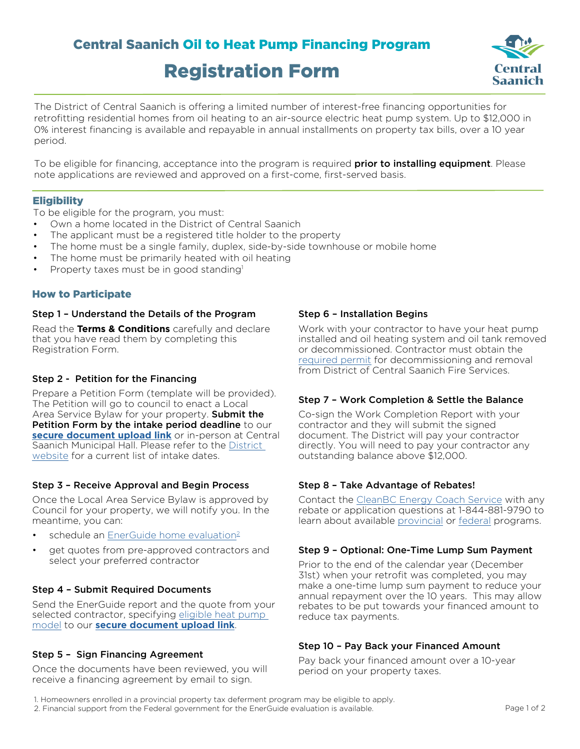# Central Saanich Oil to Heat Pump Financing Program Registration Form



The District of Central Saanich is offering a limited number of interest-free financing opportunities for retrofitting residential homes from oil heating to an air-source electric heat pump system. Up to \$12,000 in 0% interest financing is available and repayable in annual installments on property tax bills, over a 10 year period.

To be eligible for financing, acceptance into the program is required **prior to installing equipment**. Please note applications are reviewed and approved on a first-come, first-served basis.

# **Eligibility**

To be eligible for the program, you must:

- Own a home located in the District of Central Saanich
- The applicant must be a registered title holder to the property
- The home must be a single family, duplex, side-by-side townhouse or mobile home
- The home must be primarily heated with oil heating
- Property taxes must be in good standing<sup>1</sup>

# How to Participate

#### Step 1 – Understand the Details of the Program

Read the **Terms & Conditions** carefully and declare that you have read them by completing this Registration Form.

# Step 2 - Petition for the Financing

Prepare a Petition Form (template will be provided). The Petition will go to council to enact a Local Area Service Bylaw for your property. **Submit the** Petition Form by the intake period deadline to our **[secure document upload link](https://upload-csheatpumpfinancing.titanfile.com/sD5iDS/)** or in-person at Central Saanich Municipal Hall. Please refer to the [District](https://www.centralsaanich.ca/climate-action/building-efficiency-rebates/oil-heat-pump-financing-program#:~:text=Our%20new%20program%20enables%20Central,other%20rebates%20available%20right%20now.)  [website](https://www.centralsaanich.ca/climate-action/building-efficiency-rebates/oil-heat-pump-financing-program#:~:text=Our%20new%20program%20enables%20Central,other%20rebates%20available%20right%20now.) for a current list of intake dates.

# Step 3 – Receive Approval and Begin Process

Once the Local Area Service Bylaw is approved by Council for your property, we will notify you. In the meantime, you can:

- schedule an EnerGuide home evaluation<sup>2</sup>
- get quotes from pre-approved contractors and select your preferred contractor

# Step 4 – Submit Required Documents

Send the EnerGuide report and the quote from your selected contractor, specifying [eligible heat pump](https://app.bchydro.com/hero/HeatPumpLookup)  [model](https://app.bchydro.com/hero/HeatPumpLookup) to our **[secure document upload link](https://upload-csheatpumpfinancing.titanfile.com/sD5iDS/)**.

# Step 5 – Sign Financing Agreement

Once the documents have been reviewed, you will receive a financing agreement by email to sign.

# Step 6 – Installation Begins

Work with your contractor to have your heat pump installed and oil heating system and oil tank removed or decommissioned. Contractor must obtain the [required permit](https://www.centralsaanich.ca/program-services/fire/inspections-permits) for decommissioning and removal from District of Central Saanich Fire Services.

# Step 7 – Work Completion & Settle the Balance

Co-sign the Work Completion Report with your contractor and they will submit the signed document. The District will pay your contractor directly. You will need to pay your contractor any outstanding balance above \$12,000.

# Step 8 – Take Advantage of Rebates!

Contact the [CleanBC Energy Coach Service](https://betterhomesbc.ca/connect/) with any rebate or application questions at 1-844-881-9790 to learn about available [provincial](https://betterhomesbc.ca/) or [federal](https://www.nrcan.gc.ca/energy-efficiency/homes/canada-greener-homes-grant/23441) programs.

#### Step 9 – Optional: One-Time Lump Sum Payment

Prior to the end of the calendar year (December 31st) when your retrofit was completed, you may make a one-time lump sum payment to reduce your annual repayment over the 10 years. This may allow rebates to be put towards your financed amount to reduce tax payments.

# Step 10 – Pay Back your Financed Amount

Pay back your financed amount over a 10-year period on your property taxes.

1. Homeowners enrolled in a provincial property tax deferment program may be eligible to apply. 2. Financial support from the Federal government for the EnerGuide evaluation is available.